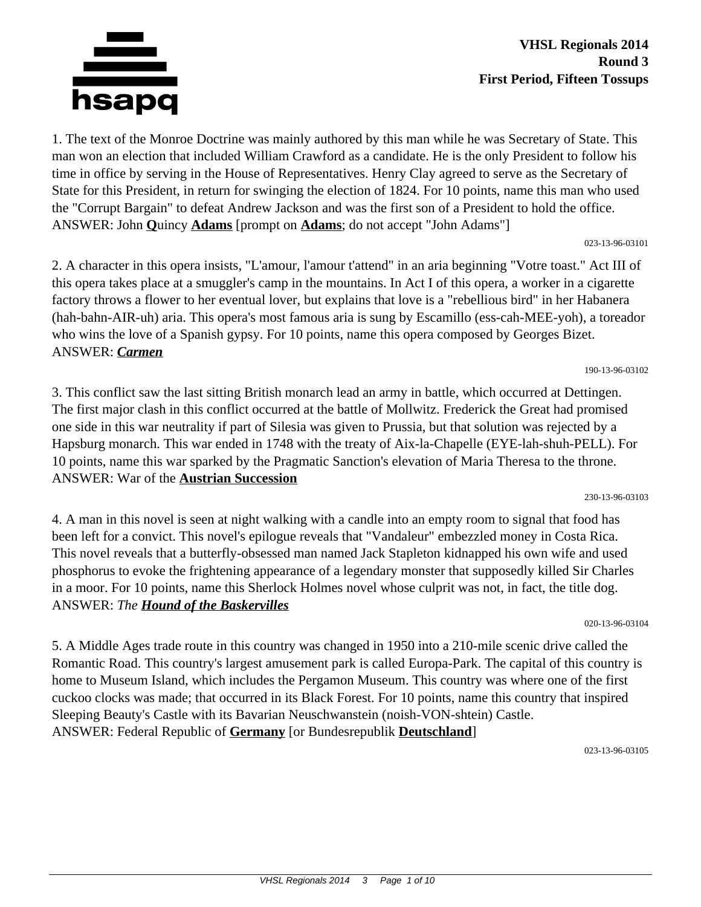

1. The text of the Monroe Doctrine was mainly authored by this man while he was Secretary of State. This man won an election that included William Crawford as a candidate. He is the only President to follow his time in office by serving in the House of Representatives. Henry Clay agreed to serve as the Secretary of State for this President, in return for swinging the election of 1824. For 10 points, name this man who used the "Corrupt Bargain" to defeat Andrew Jackson and was the first son of a President to hold the office. ANSWER: John **Q**uincy **Adams** [prompt on **Adams**; do not accept "John Adams"]

023-13-96-03101

2. A character in this opera insists, "L'amour, l'amour t'attend" in an aria beginning "Votre toast." Act III of this opera takes place at a smuggler's camp in the mountains. In Act I of this opera, a worker in a cigarette factory throws a flower to her eventual lover, but explains that love is a "rebellious bird" in her Habanera (hah-bahn-AIR-uh) aria. This opera's most famous aria is sung by Escamillo (ess-cah-MEE-yoh), a toreador who wins the love of a Spanish gypsy. For 10 points, name this opera composed by Georges Bizet. ANSWER: *Carmen*

190-13-96-03102

3. This conflict saw the last sitting British monarch lead an army in battle, which occurred at Dettingen. The first major clash in this conflict occurred at the battle of Mollwitz. Frederick the Great had promised one side in this war neutrality if part of Silesia was given to Prussia, but that solution was rejected by a Hapsburg monarch. This war ended in 1748 with the treaty of Aix-la-Chapelle (EYE-lah-shuh-PELL). For 10 points, name this war sparked by the Pragmatic Sanction's elevation of Maria Theresa to the throne. ANSWER: War of the **Austrian Succession**

230-13-96-03103

4. A man in this novel is seen at night walking with a candle into an empty room to signal that food has been left for a convict. This novel's epilogue reveals that "Vandaleur" embezzled money in Costa Rica. This novel reveals that a butterfly-obsessed man named Jack Stapleton kidnapped his own wife and used phosphorus to evoke the frightening appearance of a legendary monster that supposedly killed Sir Charles in a moor. For 10 points, name this Sherlock Holmes novel whose culprit was not, in fact, the title dog. ANSWER: *The Hound of the Baskervilles*

020-13-96-03104

5. A Middle Ages trade route in this country was changed in 1950 into a 210-mile scenic drive called the Romantic Road. This country's largest amusement park is called Europa-Park. The capital of this country is home to Museum Island, which includes the Pergamon Museum. This country was where one of the first cuckoo clocks was made; that occurred in its Black Forest. For 10 points, name this country that inspired Sleeping Beauty's Castle with its Bavarian Neuschwanstein (noish-VON-shtein) Castle. ANSWER: Federal Republic of **Germany** [or Bundesrepublik **Deutschland**]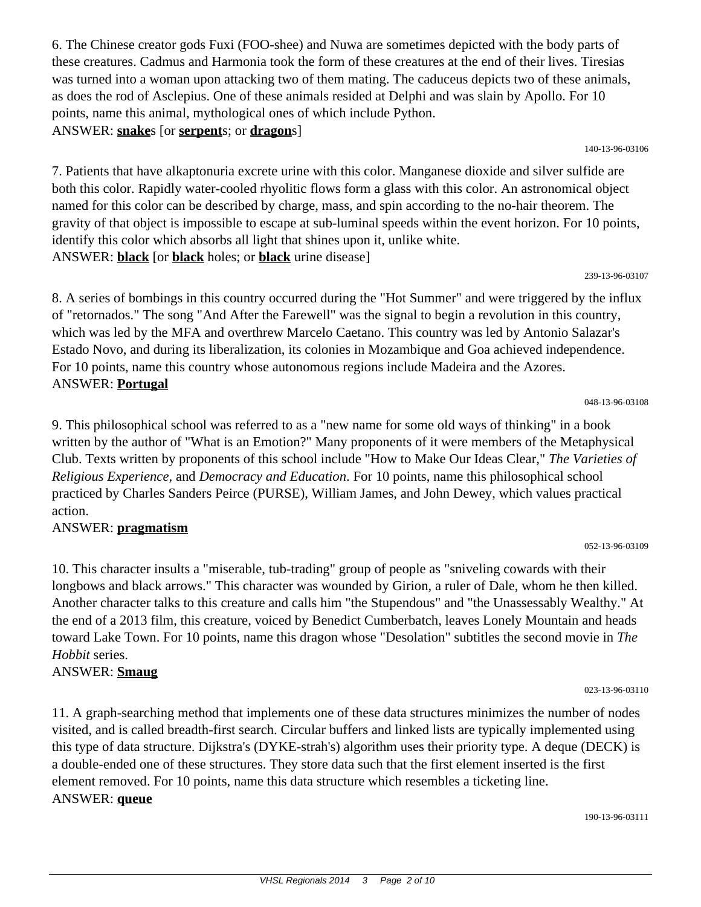6. The Chinese creator gods Fuxi (FOO-shee) and Nuwa are sometimes depicted with the body parts of these creatures. Cadmus and Harmonia took the form of these creatures at the end of their lives. Tiresias was turned into a woman upon attacking two of them mating. The caduceus depicts two of these animals, as does the rod of Asclepius. One of these animals resided at Delphi and was slain by Apollo. For 10 points, name this animal, mythological ones of which include Python. ANSWER: **snake**s [or **serpent**s; or **dragon**s]

140-13-96-03106

7. Patients that have alkaptonuria excrete urine with this color. Manganese dioxide and silver sulfide are both this color. Rapidly water-cooled rhyolitic flows form a glass with this color. An astronomical object named for this color can be described by charge, mass, and spin according to the no-hair theorem. The gravity of that object is impossible to escape at sub-luminal speeds within the event horizon. For 10 points, identify this color which absorbs all light that shines upon it, unlike white. ANSWER: **black** [or **black** holes; or **black** urine disease]

#### 239-13-96-03107

8. A series of bombings in this country occurred during the "Hot Summer" and were triggered by the influx of "retornados." The song "And After the Farewell" was the signal to begin a revolution in this country, which was led by the MFA and overthrew Marcelo Caetano. This country was led by Antonio Salazar's Estado Novo, and during its liberalization, its colonies in Mozambique and Goa achieved independence. For 10 points, name this country whose autonomous regions include Madeira and the Azores. ANSWER: **Portugal**

9. This philosophical school was referred to as a "new name for some old ways of thinking" in a book written by the author of "What is an Emotion?" Many proponents of it were members of the Metaphysical Club. Texts written by proponents of this school include "How to Make Our Ideas Clear," *The Varieties of Religious Experience,* and *Democracy and Education*. For 10 points, name this philosophical school practiced by Charles Sanders Peirce (PURSE), William James, and John Dewey, which values practical action.

#### ANSWER: **pragmatism**

10. This character insults a "miserable, tub-trading" group of people as "sniveling cowards with their longbows and black arrows." This character was wounded by Girion, a ruler of Dale, whom he then killed. Another character talks to this creature and calls him "the Stupendous" and "the Unassessably Wealthy." At the end of a 2013 film, this creature, voiced by Benedict Cumberbatch, leaves Lonely Mountain and heads toward Lake Town. For 10 points, name this dragon whose "Desolation" subtitles the second movie in *The Hobbit* series.

## ANSWER: **Smaug**

11. A graph-searching method that implements one of these data structures minimizes the number of nodes visited, and is called breadth-first search. Circular buffers and linked lists are typically implemented using this type of data structure. Dijkstra's (DYKE-strah's) algorithm uses their priority type. A deque (DECK) is a double-ended one of these structures. They store data such that the first element inserted is the first element removed. For 10 points, name this data structure which resembles a ticketing line. ANSWER: **queue**

190-13-96-03111

023-13-96-03110

# 052-13-96-03109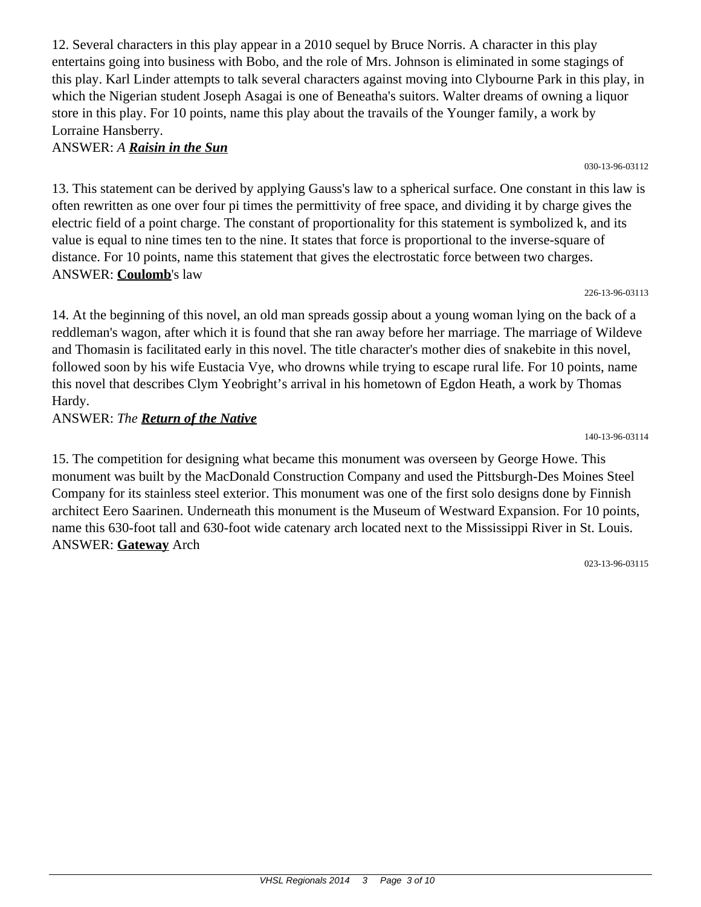12. Several characters in this play appear in a 2010 sequel by Bruce Norris. A character in this play entertains going into business with Bobo, and the role of Mrs. Johnson is eliminated in some stagings of this play. Karl Linder attempts to talk several characters against moving into Clybourne Park in this play, in which the Nigerian student Joseph Asagai is one of Beneatha's suitors. Walter dreams of owning a liquor store in this play. For 10 points, name this play about the travails of the Younger family, a work by Lorraine Hansberry.

ANSWER: *A Raisin in the Sun*

13. This statement can be derived by applying Gauss's law to a spherical surface. One constant in this law is often rewritten as one over four pi times the permittivity of free space, and dividing it by charge gives the electric field of a point charge. The constant of proportionality for this statement is symbolized k, and its value is equal to nine times ten to the nine. It states that force is proportional to the inverse-square of distance. For 10 points, name this statement that gives the electrostatic force between two charges. ANSWER: **Coulomb**'s law

226-13-96-03113

14. At the beginning of this novel, an old man spreads gossip about a young woman lying on the back of a reddleman's wagon, after which it is found that she ran away before her marriage. The marriage of Wildeve and Thomasin is facilitated early in this novel. The title character's mother dies of snakebite in this novel, followed soon by his wife Eustacia Vye, who drowns while trying to escape rural life. For 10 points, name this novel that describes Clym Yeobright's arrival in his hometown of Egdon Heath, a work by Thomas Hardy.

ANSWER: *The Return of the Native*

15. The competition for designing what became this monument was overseen by George Howe. This monument was built by the MacDonald Construction Company and used the Pittsburgh-Des Moines Steel Company for its stainless steel exterior. This monument was one of the first solo designs done by Finnish architect Eero Saarinen. Underneath this monument is the Museum of Westward Expansion. For 10 points, name this 630-foot tall and 630-foot wide catenary arch located next to the Mississippi River in St. Louis. ANSWER: **Gateway** Arch

023-13-96-03115

140-13-96-03114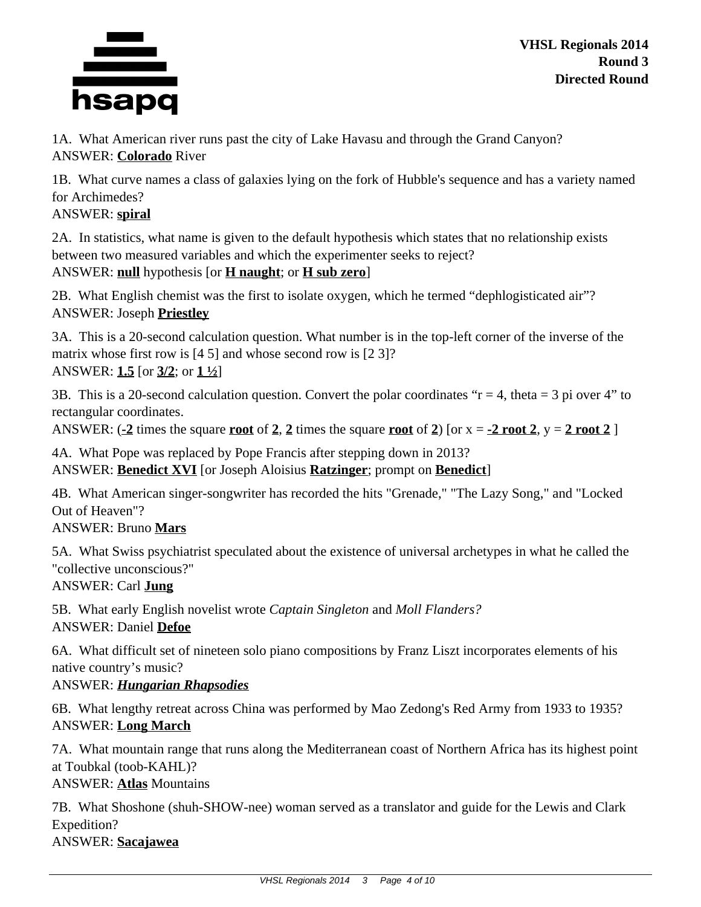

**VHSL Regionals 2014 Round 3 Directed Round**

1A. What American river runs past the city of Lake Havasu and through the Grand Canyon? ANSWER: **Colorado** River

1B. What curve names a class of galaxies lying on the fork of Hubble's sequence and has a variety named for Archimedes?

ANSWER: **spiral**

2A. In statistics, what name is given to the default hypothesis which states that no relationship exists between two measured variables and which the experimenter seeks to reject? ANSWER: **null** hypothesis [or **H naught**; or **H sub zero**]

2B. What English chemist was the first to isolate oxygen, which he termed "dephlogisticated air"? ANSWER: Joseph **Priestley**

3A. This is a 20-second calculation question. What number is in the top-left corner of the inverse of the matrix whose first row is [4 5] and whose second row is [2 3]? ANSWER: **1.5** [or **3/2**; or **1 ½**]

3B. This is a 20-second calculation question. Convert the polar coordinates " $r = 4$ , theta = 3 pi over 4" to rectangular coordinates.

ANSWER:  $\left(\frac{-2}{2}\right)$  times the square **<u>root</u>** of 2, 2 times the square **root** of 2) [or x =  $\frac{-2 \text{ root 2}}{2}$ , y = 2 **root** 2 ]

4A. What Pope was replaced by Pope Francis after stepping down in 2013? ANSWER: **Benedict XVI** [or Joseph Aloisius **Ratzinger**; prompt on **Benedict**]

4B. What American singer-songwriter has recorded the hits "Grenade," "The Lazy Song," and "Locked Out of Heaven"?

ANSWER: Bruno **Mars**

5A. What Swiss psychiatrist speculated about the existence of universal archetypes in what he called the "collective unconscious?"

ANSWER: Carl **Jung**

5B. What early English novelist wrote *Captain Singleton* and *Moll Flanders?* ANSWER: Daniel **Defoe**

6A. What difficult set of nineteen solo piano compositions by Franz Liszt incorporates elements of his native country's music?

ANSWER: *Hungarian Rhapsodies*

6B. What lengthy retreat across China was performed by Mao Zedong's Red Army from 1933 to 1935? ANSWER: **Long March**

7A. What mountain range that runs along the Mediterranean coast of Northern Africa has its highest point at Toubkal (toob-KAHL)?

ANSWER: **Atlas** Mountains

7B. What Shoshone (shuh-SHOW-nee) woman served as a translator and guide for the Lewis and Clark Expedition? ANSWER: **Sacajawea**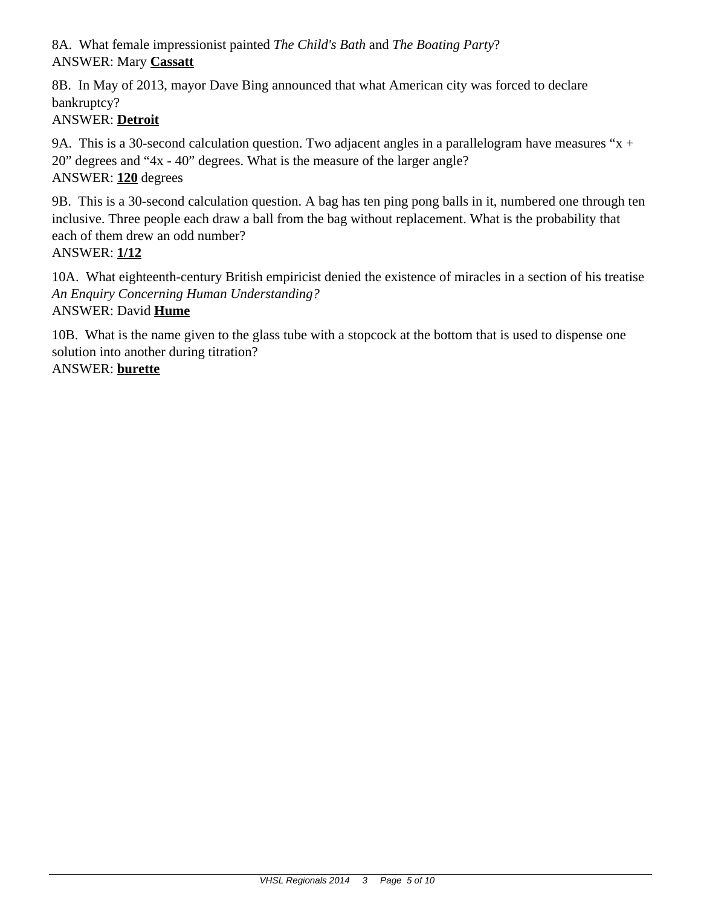8A. What female impressionist painted *The Child's Bath* and *The Boating Party*? ANSWER: Mary **Cassatt**

8B. In May of 2013, mayor Dave Bing announced that what American city was forced to declare bankruptcy?

# ANSWER: **Detroit**

9A. This is a 30-second calculation question. Two adjacent angles in a parallelogram have measures " $x +$ 20" degrees and "4x - 40" degrees. What is the measure of the larger angle? ANSWER: **120** degrees

9B. This is a 30-second calculation question. A bag has ten ping pong balls in it, numbered one through ten inclusive. Three people each draw a ball from the bag without replacement. What is the probability that each of them drew an odd number? ANSWER: **1/12**

10A. What eighteenth-century British empiricist denied the existence of miracles in a section of his treatise *An Enquiry Concerning Human Understanding?* ANSWER: David **Hume**

10B. What is the name given to the glass tube with a stopcock at the bottom that is used to dispense one solution into another during titration?

## ANSWER: **burette**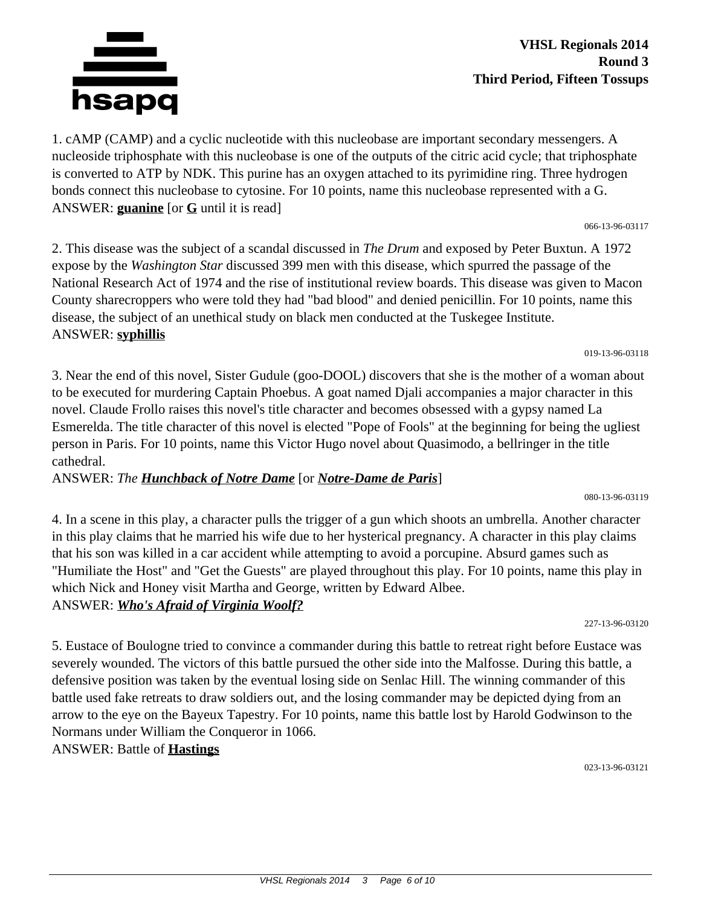

1. cAMP (CAMP) and a cyclic nucleotide with this nucleobase are important secondary messengers. A nucleoside triphosphate with this nucleobase is one of the outputs of the citric acid cycle; that triphosphate is converted to ATP by NDK. This purine has an oxygen attached to its pyrimidine ring. Three hydrogen bonds connect this nucleobase to cytosine. For 10 points, name this nucleobase represented with a G. ANSWER: **guanine** [or **G** until it is read]

066-13-96-03117

2. This disease was the subject of a scandal discussed in *The Drum* and exposed by Peter Buxtun. A 1972 expose by the *Washington Star* discussed 399 men with this disease, which spurred the passage of the National Research Act of 1974 and the rise of institutional review boards. This disease was given to Macon County sharecroppers who were told they had "bad blood" and denied penicillin. For 10 points, name this disease, the subject of an unethical study on black men conducted at the Tuskegee Institute. ANSWER: **syphillis**

019-13-96-03118

3. Near the end of this novel, Sister Gudule (goo-DOOL) discovers that she is the mother of a woman about to be executed for murdering Captain Phoebus. A goat named Djali accompanies a major character in this novel. Claude Frollo raises this novel's title character and becomes obsessed with a gypsy named La Esmerelda. The title character of this novel is elected "Pope of Fools" at the beginning for being the ugliest person in Paris. For 10 points, name this Victor Hugo novel about Quasimodo, a bellringer in the title cathedral.

## ANSWER: *The Hunchback of Notre Dame* [or *Notre-Dame de Paris*]

4. In a scene in this play, a character pulls the trigger of a gun which shoots an umbrella. Another character in this play claims that he married his wife due to her hysterical pregnancy. A character in this play claims that his son was killed in a car accident while attempting to avoid a porcupine. Absurd games such as "Humiliate the Host" and "Get the Guests" are played throughout this play. For 10 points, name this play in which Nick and Honey visit Martha and George, written by Edward Albee. ANSWER: *Who's Afraid of Virginia Woolf?*

227-13-96-03120

080-13-96-03119

5. Eustace of Boulogne tried to convince a commander during this battle to retreat right before Eustace was severely wounded. The victors of this battle pursued the other side into the Malfosse. During this battle, a defensive position was taken by the eventual losing side on Senlac Hill. The winning commander of this battle used fake retreats to draw soldiers out, and the losing commander may be depicted dying from an arrow to the eye on the Bayeux Tapestry. For 10 points, name this battle lost by Harold Godwinson to the Normans under William the Conqueror in 1066.

## ANSWER: Battle of **Hastings**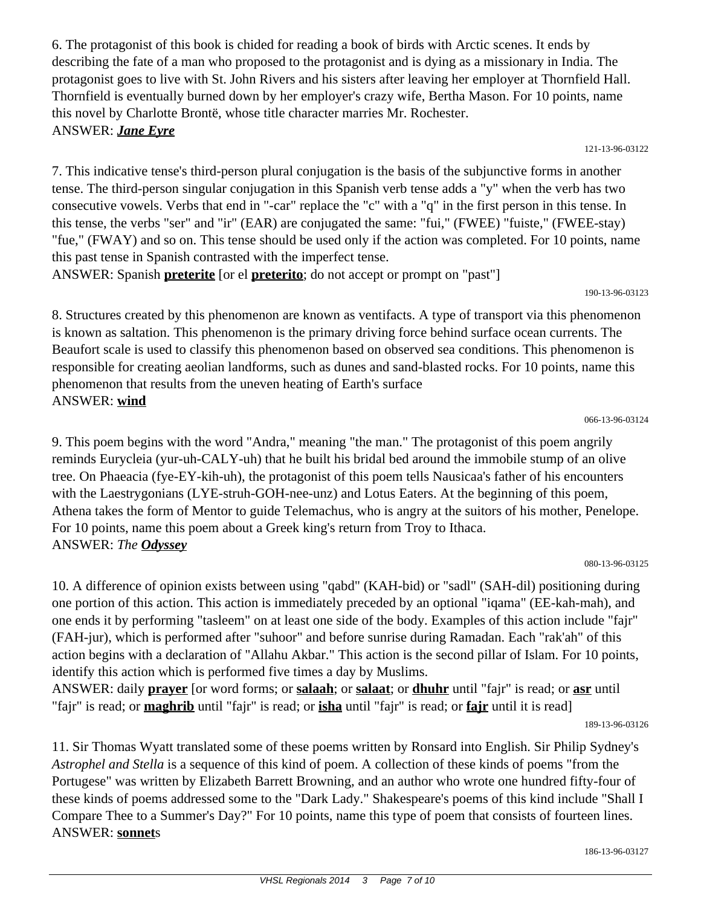6. The protagonist of this book is chided for reading a book of birds with Arctic scenes. It ends by describing the fate of a man who proposed to the protagonist and is dying as a missionary in India. The protagonist goes to live with St. John Rivers and his sisters after leaving her employer at Thornfield Hall. Thornfield is eventually burned down by her employer's crazy wife, Bertha Mason. For 10 points, name this novel by Charlotte Brontë, whose title character marries Mr. Rochester. ANSWER: *Jane Eyre*

121-13-96-03122

7. This indicative tense's third-person plural conjugation is the basis of the subjunctive forms in another tense. The third-person singular conjugation in this Spanish verb tense adds a "y" when the verb has two consecutive vowels. Verbs that end in "-car" replace the "c" with a "q" in the first person in this tense. In this tense, the verbs "ser" and "ir" (EAR) are conjugated the same: "fui," (FWEE) "fuiste," (FWEE-stay) "fue," (FWAY) and so on. This tense should be used only if the action was completed. For 10 points, name this past tense in Spanish contrasted with the imperfect tense.

ANSWER: Spanish **preterite** [or el **preterito**; do not accept or prompt on "past"]

190-13-96-03123

8. Structures created by this phenomenon are known as ventifacts. A type of transport via this phenomenon is known as saltation. This phenomenon is the primary driving force behind surface ocean currents. The Beaufort scale is used to classify this phenomenon based on observed sea conditions. This phenomenon is responsible for creating aeolian landforms, such as dunes and sand-blasted rocks. For 10 points, name this phenomenon that results from the uneven heating of Earth's surface ANSWER: **wind**

066-13-96-03124

9. This poem begins with the word "Andra," meaning "the man." The protagonist of this poem angrily reminds Eurycleia (yur-uh-CALY-uh) that he built his bridal bed around the immobile stump of an olive tree. On Phaeacia (fye-EY-kih-uh), the protagonist of this poem tells Nausicaa's father of his encounters with the Laestrygonians (LYE-struh-GOH-nee-unz) and Lotus Eaters. At the beginning of this poem, Athena takes the form of Mentor to guide Telemachus, who is angry at the suitors of his mother, Penelope. For 10 points, name this poem about a Greek king's return from Troy to Ithaca. ANSWER: *The Odyssey*

080-13-96-03125

10. A difference of opinion exists between using "qabd" (KAH-bid) or "sadl" (SAH-dil) positioning during one portion of this action. This action is immediately preceded by an optional "iqama" (EE-kah-mah), and one ends it by performing "tasleem" on at least one side of the body. Examples of this action include "fajr" (FAH-jur), which is performed after "suhoor" and before sunrise during Ramadan. Each "rak'ah" of this action begins with a declaration of "Allahu Akbar." This action is the second pillar of Islam. For 10 points, identify this action which is performed five times a day by Muslims.

ANSWER: daily **prayer** [or word forms; or **salaah**; or **salaat**; or **dhuhr** until "fajr" is read; or **asr** until "fajr" is read; or **maghrib** until "fajr" is read; or **isha** until "fajr" is read; or **fajr** until it is read]

189-13-96-03126

11. Sir Thomas Wyatt translated some of these poems written by Ronsard into English. Sir Philip Sydney's *Astrophel and Stella* is a sequence of this kind of poem. A collection of these kinds of poems "from the Portugese" was written by Elizabeth Barrett Browning, and an author who wrote one hundred fifty-four of these kinds of poems addressed some to the "Dark Lady." Shakespeare's poems of this kind include "Shall I Compare Thee to a Summer's Day?" For 10 points, name this type of poem that consists of fourteen lines. ANSWER: **sonnet**s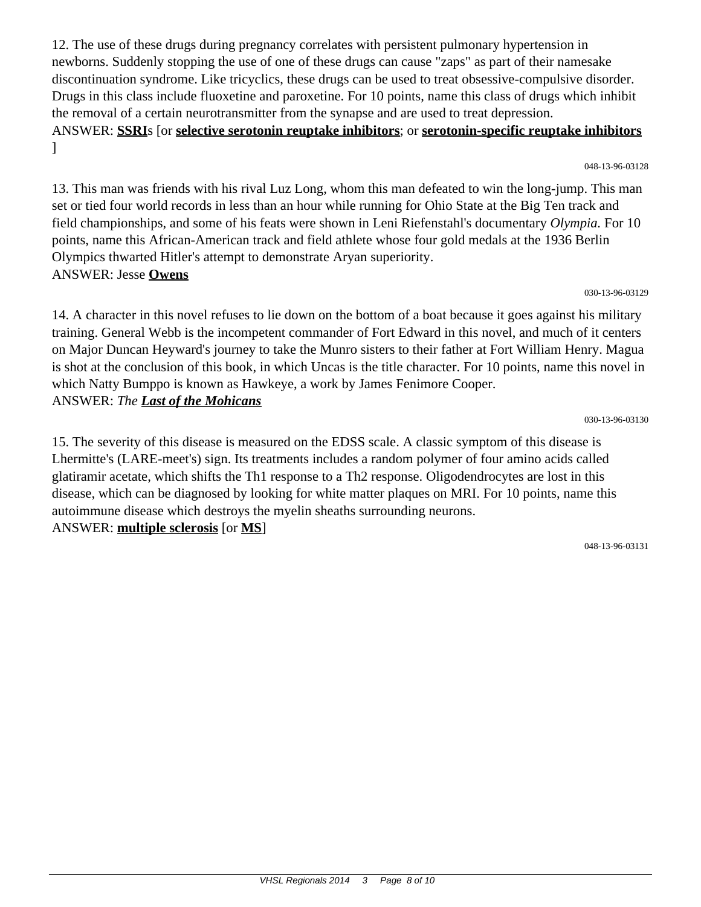12. The use of these drugs during pregnancy correlates with persistent pulmonary hypertension in newborns. Suddenly stopping the use of one of these drugs can cause "zaps" as part of their namesake discontinuation syndrome. Like tricyclics, these drugs can be used to treat obsessive-compulsive disorder. Drugs in this class include fluoxetine and paroxetine. For 10 points, name this class of drugs which inhibit the removal of a certain neurotransmitter from the synapse and are used to treat depression. ANSWER: **SSRI**s [or **selective serotonin reuptake inhibitors**; or **serotonin-specific reuptake inhibitors** ]

13. This man was friends with his rival Luz Long, whom this man defeated to win the long-jump. This man set or tied four world records in less than an hour while running for Ohio State at the Big Ten track and field championships, and some of his feats were shown in Leni Riefenstahl's documentary *Olympia.* For 10 points, name this African-American track and field athlete whose four gold medals at the 1936 Berlin Olympics thwarted Hitler's attempt to demonstrate Aryan superiority. ANSWER: Jesse **Owens**

#### 030-13-96-03129

14. A character in this novel refuses to lie down on the bottom of a boat because it goes against his military training. General Webb is the incompetent commander of Fort Edward in this novel, and much of it centers on Major Duncan Heyward's journey to take the Munro sisters to their father at Fort William Henry. Magua is shot at the conclusion of this book, in which Uncas is the title character. For 10 points, name this novel in which Natty Bumppo is known as Hawkeye, a work by James Fenimore Cooper. ANSWER: *The Last of the Mohicans*

030-13-96-03130

15. The severity of this disease is measured on the EDSS scale. A classic symptom of this disease is Lhermitte's (LARE-meet's) sign. Its treatments includes a random polymer of four amino acids called glatiramir acetate, which shifts the Th1 response to a Th2 response. Oligodendrocytes are lost in this disease, which can be diagnosed by looking for white matter plaques on MRI. For 10 points, name this autoimmune disease which destroys the myelin sheaths surrounding neurons. ANSWER: **multiple sclerosis** [or **MS**]

048-13-96-03131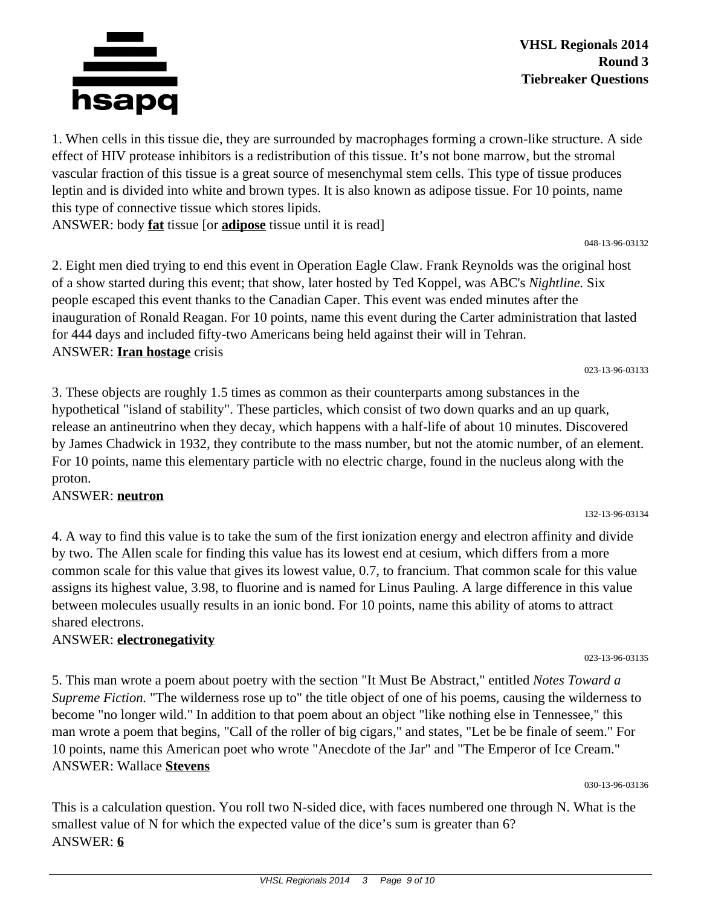

**VHSL Regionals 2014 Round 3 Tiebreaker Questions**

1. When cells in this tissue die, they are surrounded by macrophages forming a crown-like structure. A side effect of HIV protease inhibitors is a redistribution of this tissue. It's not bone marrow, but the stromal vascular fraction of this tissue is a great source of mesenchymal stem cells. This type of tissue produces leptin and is divided into white and brown types. It is also known as adipose tissue. For 10 points, name this type of connective tissue which stores lipids.

ANSWER: body **fat** tissue [or **adipose** tissue until it is read]

2. Eight men died trying to end this event in Operation Eagle Claw. Frank Reynolds was the original host of a show started during this event; that show, later hosted by Ted Koppel, was ABC's *Nightline.* Six people escaped this event thanks to the Canadian Caper. This event was ended minutes after the inauguration of Ronald Reagan. For 10 points, name this event during the Carter administration that lasted for 444 days and included fifty-two Americans being held against their will in Tehran. ANSWER: **Iran hostage** crisis

3. These objects are roughly 1.5 times as common as their counterparts among substances in the hypothetical "island of stability". These particles, which consist of two down quarks and an up quark, release an antineutrino when they decay, which happens with a half-life of about 10 minutes. Discovered by James Chadwick in 1932, they contribute to the mass number, but not the atomic number, of an element. For 10 points, name this elementary particle with no electric charge, found in the nucleus along with the proton.

ANSWER: **neutron**

4. A way to find this value is to take the sum of the first ionization energy and electron affinity and divide by two. The Allen scale for finding this value has its lowest end at cesium, which differs from a more common scale for this value that gives its lowest value, 0.7, to francium. That common scale for this value assigns its highest value, 3.98, to fluorine and is named for Linus Pauling. A large difference in this value between molecules usually results in an ionic bond. For 10 points, name this ability of atoms to attract shared electrons.

## ANSWER: **electronegativity**

5. This man wrote a poem about poetry with the section "It Must Be Abstract," entitled *Notes Toward a Supreme Fiction.* "The wilderness rose up to" the title object of one of his poems, causing the wilderness to become "no longer wild." In addition to that poem about an object "like nothing else in Tennessee," this man wrote a poem that begins, "Call of the roller of big cigars," and states, "Let be be finale of seem." For 10 points, name this American poet who wrote "Anecdote of the Jar" and "The Emperor of Ice Cream." ANSWER: Wallace **Stevens**

030-13-96-03136

This is a calculation question. You roll two N-sided dice, with faces numbered one through N. What is the smallest value of N for which the expected value of the dice's sum is greater than 6? ANSWER: **6**

023-13-96-03133

048-13-96-03132

023-13-96-03135